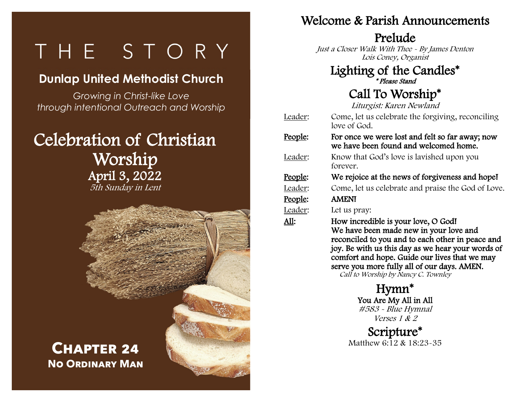# $\overline{\phantom{0}}$  $\overline{\phantom{0}}$

# **Dunlap United Methodist Church**

*Growing in Christ-like Love through intentional Outreach and Worship*

# Celebration of Christian Worship April 3, 2022 5th Sunday in Lent



**Chapter 24 No Ordinary Man** l.  $\overline{a}$ 

#### Welcome & Parish Announcements

#### Prelude

Just a Closer Walk With Thee - By James Denton Lois Coney, Organist

#### Lighting of the Candles\* \* Please Stand

## Call To Worship\*

Liturgist: Karen Newland

- Leader: Come, let us celebrate the forgiving, reconciling love of God.
- People: For once we were lost and felt so far away; now we have been found and welcomed home.
- Leader: Know that God's love is lavished upon you forever.
- People: We rejoice at the news of forgiveness and hope!
- Leader: Come, let us celebrate and praise the God of Love.

#### People: AMEN!

- Leader: Let us pray:
- All: How incredible is your love, O God! We have been made new in your love and reconciled to you and to each other in peace and joy. Be with us this day as we hear your words of comfort and hope. Guide our lives that we may serve you more fully all of our days. AMEN. Call to Worship by Nancy C. Townley

Hymn\* You Are My All in All #583 - Blue Hymnal Verses 1 & 2

Scripture\* Matthew 6:12 & 18:23-35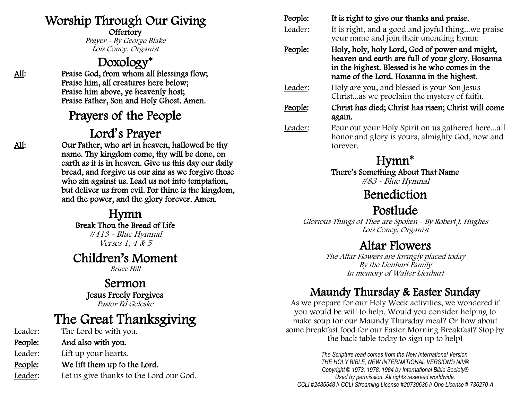## Worship Through Our Giving

**Offertory** 

Prayer - By George Blake Lois Coney, Organist

## Doxology\*

All: Praise God, from whom all blessings flow; Praise him, all creatures here below; Praise him above, ye heavenly host; Praise Father, Son and Holy Ghost. Amen.

## Prayers of the People

## Lord**'**s Prayer

All: Our Father, who art in heaven, hallowed be thy name. Thy kingdom come, thy will be done, on earth as it is in heaven. Give us this day our daily bread, and forgive us our sins as we forgive those who sin against us. Lead us not into temptation, but deliver us from evil. For thine is the kingdom, and the power, and the glory forever. Amen.

#### Hymn

Break Thou the Bread of Life

#413 - Blue Hymnal Verses 1, 4 & 5

#### Children's Moment

Bruce Hill

#### Sermon Jesus Freely Forgives Pastor Ed Geleske

# The Great Thanksgiving

Leader: The Lord be with you. People: And also with you. Leader: Lift up your hearts. People: We lift them up to the Lord. Leader: Let us give thanks to the Lord our God.

#### People: It is right to give our thanks and praise. Leader: It is right, and a good and joyful thing...we praise your name and join their unending hymn: People: Holy, holy, holy Lord, God of power and might, heaven and earth are full of your glory. Hosanna in the highest. Blessed is he who comes in the name of the Lord. Hosanna in the highest. Leader: Holy are you, and blessed is your Son Jesus Christ...as we proclaim the mystery of faith. People: Christ has died; Christ has risen; Christ will come again. Leader: Pour out your Holy Spirit on us gathered here...all honor and glory is yours, almighty God, now and forever.

## Hymn\*

There's Something About That Name

#83 - Blue Hymnal

## Benediction

## Postlude

Glorious Things of Thee are Spoken - By Robert J. Hughes Lois Coney, Organist

## Altar Flowers

The Altar Flowers are lovingly placed today By the Lienhart Family In memory of Walter Lienhart

#### Maundy Thursday & Easter Sunday

As we prepare for our Holy Week activities, we wondered if you would be will to help. Would you consider helping to make soup for our Maundy Thursday meal? Or how about some breakfast food for our Easter Morning Breakfast? Stop by the back table today to sign up to help!

*The Scripture read comes from the New International Version. THE HOLY BIBLE, NEW INTERNATIONAL VERSION® NIV® Copyright © 1973, 1978, 1984 by International Bible Society® Used by permission. All rights reserved worldwide. CCLI #2485548* // *CCLI Streaming License #20730636* // *One License # 736270-A*